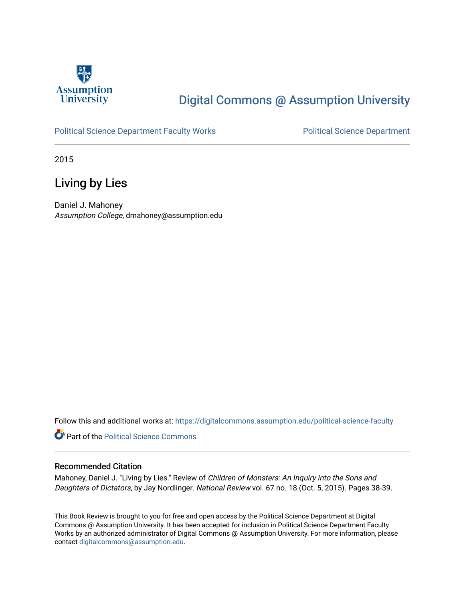

## [Digital Commons @ Assumption University](https://digitalcommons.assumption.edu/)

#### [Political Science Department Faculty Works](https://digitalcommons.assumption.edu/political-science-faculty) **Political Science Department**

2015

### Living by Lies

Daniel J. Mahoney Assumption College, dmahoney@assumption.edu

Follow this and additional works at: [https://digitalcommons.assumption.edu/political-science-faculty](https://digitalcommons.assumption.edu/political-science-faculty?utm_source=digitalcommons.assumption.edu%2Fpolitical-science-faculty%2F2&utm_medium=PDF&utm_campaign=PDFCoverPages)

**Part of the Political Science Commons** 

#### Recommended Citation

Mahoney, Daniel J. "Living by Lies." Review of Children of Monsters: An Inquiry into the Sons and Daughters of Dictators, by Jay Nordlinger. National Review vol. 67 no. 18 (Oct. 5, 2015). Pages 38-39.

This Book Review is brought to you for free and open access by the Political Science Department at Digital Commons @ Assumption University. It has been accepted for inclusion in Political Science Department Faculty Works by an authorized administrator of Digital Commons @ Assumption University. For more information, please contact [digitalcommons@assumption.edu.](mailto:digitalcommons@assumption.edu)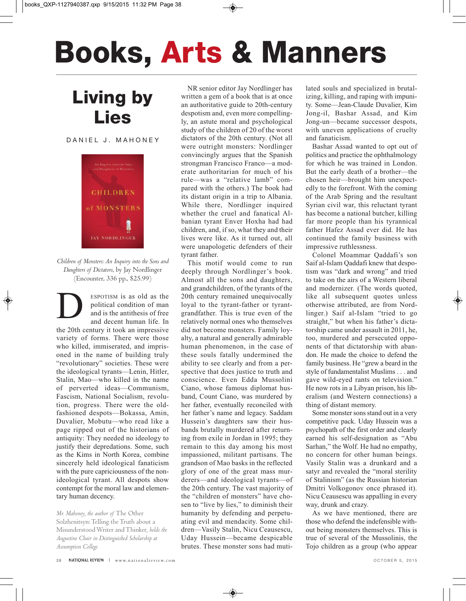# **Books, Arts & Manners**

# **Living by Lies**

DANIEL J. MAHONEY



*Children of Monsters: An Inquiry into the Sons and Daughters of Dictators*, by Jay Nordlinger (Encounter, 336 pp., \$25.99)

ESPOTISM is as old as the political condition of man and is the antithesis of free and decent human life. In political condition of man and is the antithesis of free and decent human life. In the 20th century it took an impressive variety of forms. There were those who killed, immiserated, and imprisoned in the name of building truly "revolutionary" societies. These were the ideological tyrants—Lenin, Hitler, Stalin, Mao—who killed in the name of perverted ideas—Communism, Fascism, National Socialism, revolution, progress. There were the oldfashioned despots—Bokassa, Amin, Duvalier, Mobutu—who read like a page ripped out of the historians of antiquity: They needed no ideology to justify their depredations. Some, such as the Kims in North Korea, combine sincerely held ideological fanaticism with the pure capriciousness of the nonideological tyrant. All despots show contempt for the moral law and elementary human decency.

*Mr. Mahoney, the author of* The Other Solzhenitsyn: Telling the Truth about a Misunderstood Writer and Thinker*, holds the Augustine Chair in Distinguished Scholarship at Assumption College.*

NR senior editor Jay Nordlinger has written a gem of a book that is at once an authoritative guide to 20th-century despotism and, even more compellingly, an astute moral and psychological study of the children of 20 of the worst dictators of the 20th century. (Not all were outright monsters: Nordlinger convincingly argues that the Spanish strongman Francisco Franco—a moderate authoritarian for much of his rule—was a "relative lamb" compared with the others.) The book had its distant origin in a trip to Albania. While there, Nordlinger inquired whether the cruel and fanatical Albanian tyrant Enver Hoxha had had children, and, if so, what they and their lives were like. As it turned out, all were unapologetic defenders of their tyrant father.

This motif would come to run deeply through Nordlinger's book. Almost all the sons and daughters, and grandchildren, of the tyrants of the 20th century remained unequivocally loyal to the tyrant-father or tyrantgrandfather. This is true even of the relatively normal ones who themselves did not become monsters. Family loyalty, a natural and generally admirable human phenomenon, in the case of these souls fatally undermined the ability to see clearly and from a perspective that does justice to truth and conscience. Even Edda Mussolini Ciano, whose famous diplomat husband, Count Ciano, was murdered by her father, eventually reconciled with her father's name and legacy. Saddam Hussein's daughters saw their husbands brutally murdered after returning from exile in Jordan in 1995; they remain to this day among his most impassioned, militant partisans. The grandson of Mao basks in the reflected glory of one of the great mass murderers—and ideological tyrants—of the 20th century. The vast majority of the "children of monsters" have chosen to "live by lies," to diminish their humanity by defending and perpetuating evil and mendacity. Some children—Vasily Stalin, Nicu Ceausescu, Uday Hussein—became despicable brutes. These monster sons had mutilated souls and specialized in brutalizing, killing, and raping with impunity. Some-Jean-Claude Duvalier, Kim Jong-il, Bashar Assad, and Kim Jong-un—became successor despots, with uneven applications of cruelty and fanaticism.

Bashar Assad wanted to opt out of politics and practice the ophthalmology for which he was trained in London. But the early death of a brother—the chosen heir—brought him unexpectedly to the forefront. With the coming of the Arab Spring and the resultant Syrian civil war, this reluctant tyrant has become a national butcher, killing far more people than his tyrannical father Hafez Assad ever did. He has continued the family business with impressive ruthlessness.

Colonel Moammar Qaddafi's son Saif al-Islam Qaddafi knew that despotism was "dark and wrong" and tried to take on the airs of a Western liberal and modernizer. (The words quoted, like all subsequent quotes unless otherwise attributed, are from Nordlinger.) Saif al-Islam "tried to go straight," but when his father's dictatorship came under assault in 2011, he, too, murdered and persecuted opponents of that dictatorship with abandon. He made the choice to defend the family business. He "grew a beard in the style of fundamentalist Muslims . . . and gave wild-eyed rants on television." He now rots in a Libyan prison, his liberalism (and Western connections) a thing of distant memory.

Some monster sons stand out in a very competitive pack. Uday Hussein was a psychopath of the first order and clearly earned his self-designation as "Abu Sarhan," the Wolf. He had no empathy, no concern for other human beings. Vasily Stalin was a drunkard and a satyr and revealed the "moral sterility of Stalinism" (as the Russian historian Dmitri Volkogonov once phrased it). Nicu Ceausescu was appalling in every way, drunk and crazy.

As we have mentioned, there are those who defend the indefensible without being monsters themselves. This is true of several of the Mussolinis, the Tojo children as a group (who appear